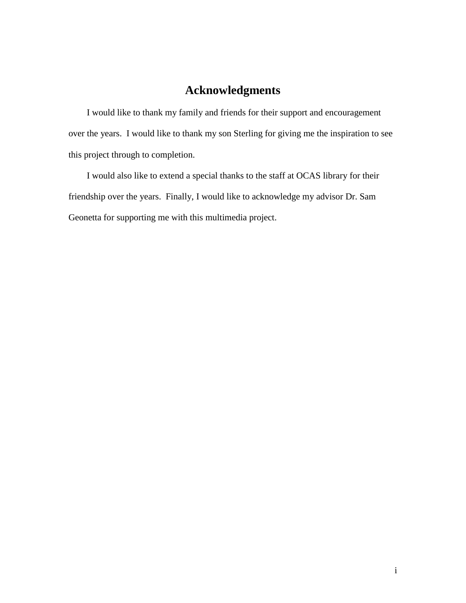# **Acknowledgments**

 I would like to thank my family and friends for their support and encouragement over the years. I would like to thank my son Sterling for giving me the inspiration to see this project through to completion.

 I would also like to extend a special thanks to the staff at OCAS library for their friendship over the years. Finally, I would like to acknowledge my advisor Dr. Sam Geonetta for supporting me with this multimedia project.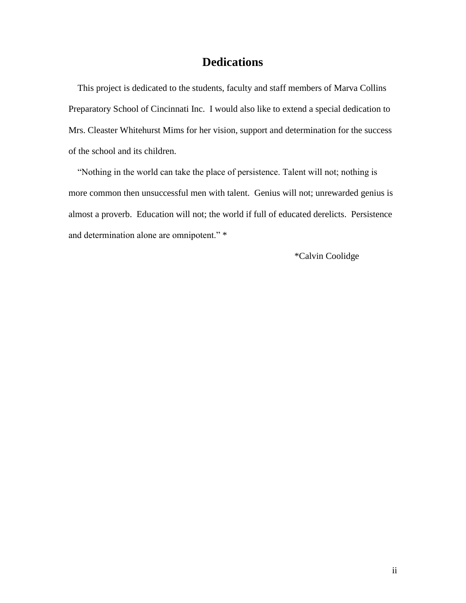# **Dedications**

 This project is dedicated to the students, faculty and staff members of Marva Collins Preparatory School of Cincinnati Inc. I would also like to extend a special dedication to Mrs. Cleaster Whitehurst Mims for her vision, support and determination for the success of the school and its children.

 "Nothing in the world can take the place of persistence. Talent will not; nothing is more common then unsuccessful men with talent. Genius will not; unrewarded genius is almost a proverb. Education will not; the world if full of educated derelicts. Persistence and determination alone are omnipotent." \*

\*Calvin Coolidge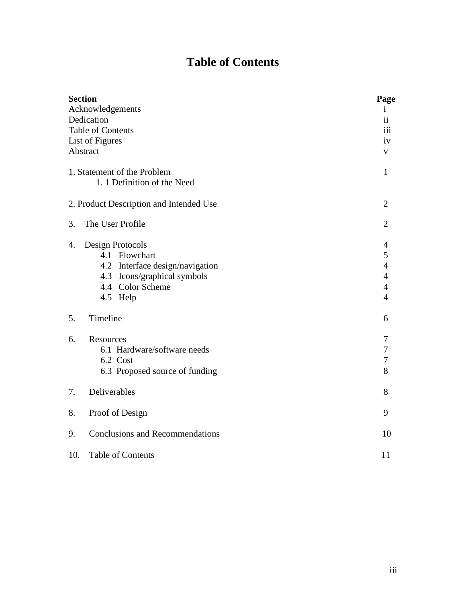# **Table of Contents**

| <b>Section</b> |                                         | Page           |
|----------------|-----------------------------------------|----------------|
|                | Acknowledgements                        | $\mathbf{1}$   |
|                | Dedication                              | $\mathbf{ii}$  |
|                | <b>Table of Contents</b>                | 111            |
|                | List of Figures                         | iv             |
|                | Abstract                                | V              |
|                | 1. Statement of the Problem             | $\mathbf{1}$   |
|                | 1. 1 Definition of the Need             |                |
|                | 2. Product Description and Intended Use | $\overline{2}$ |
| 3.             | The User Profile                        | $\overline{2}$ |
| 4.             | Design Protocols                        | 4              |
|                | 4.1 Flowchart                           | 5              |
|                | 4.2 Interface design/navigation         | $\overline{4}$ |
|                | 4.3 Icons/graphical symbols             | $\overline{4}$ |
|                | 4.4 Color Scheme                        | $\overline{4}$ |
|                | 4.5 Help                                | $\overline{4}$ |
| 5.             | Timeline                                | 6              |
| 6.             | Resources                               | 7              |
|                | 6.1 Hardware/software needs             | 7              |
|                | 6.2 Cost                                | 7              |
|                | 6.3 Proposed source of funding          | 8              |
| 7.             | Deliverables                            | 8              |
| 8.             | Proof of Design                         | 9              |
| 9.             | <b>Conclusions and Recommendations</b>  | 10             |
| 10.            | <b>Table of Contents</b>                | 11             |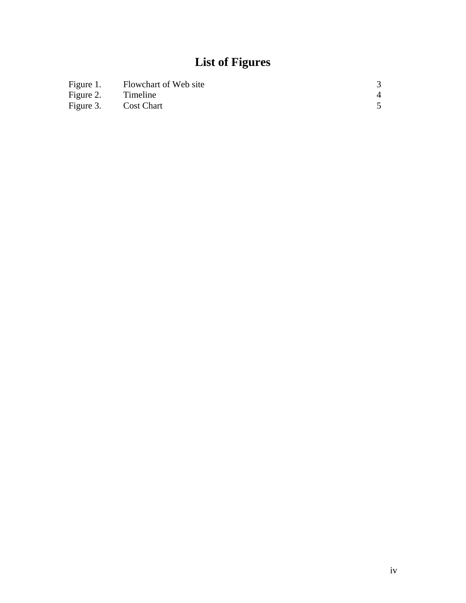# **List of Figures**

| Figure 1. | Flowchart of Web site |  |
|-----------|-----------------------|--|
| Figure 2. | Timeline              |  |
| Figure 3. | <b>Cost Chart</b>     |  |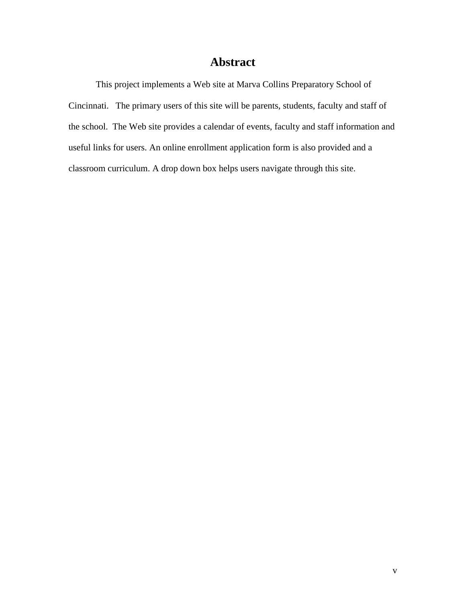# **Abstract**

This project implements a Web site at Marva Collins Preparatory School of Cincinnati. The primary users of this site will be parents, students, faculty and staff of the school. The Web site provides a calendar of events, faculty and staff information and useful links for users. An online enrollment application form is also provided and a classroom curriculum. A drop down box helps users navigate through this site.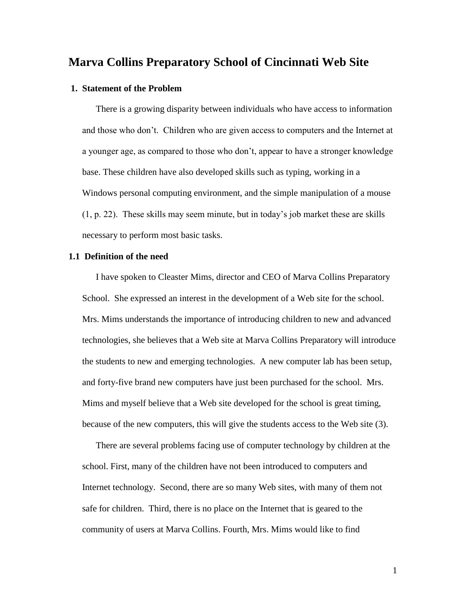## **Marva Collins Preparatory School of Cincinnati Web Site**

#### **1. Statement of the Problem**

There is a growing disparity between individuals who have access to information and those who don't. Children who are given access to computers and the Internet at a younger age, as compared to those who don't, appear to have a stronger knowledge base. These children have also developed skills such as typing, working in a Windows personal computing environment, and the simple manipulation of a mouse (1, p. 22). These skills may seem minute, but in today's job market these are skills necessary to perform most basic tasks.

#### **1.1 Definition of the need**

I have spoken to Cleaster Mims, director and CEO of Marva Collins Preparatory School. She expressed an interest in the development of a Web site for the school. Mrs. Mims understands the importance of introducing children to new and advanced technologies, she believes that a Web site at Marva Collins Preparatory will introduce the students to new and emerging technologies. A new computer lab has been setup, and forty-five brand new computers have just been purchased for the school. Mrs. Mims and myself believe that a Web site developed for the school is great timing, because of the new computers, this will give the students access to the Web site (3).

There are several problems facing use of computer technology by children at the school. First, many of the children have not been introduced to computers and Internet technology. Second, there are so many Web sites, with many of them not safe for children. Third, there is no place on the Internet that is geared to the community of users at Marva Collins. Fourth, Mrs. Mims would like to find

1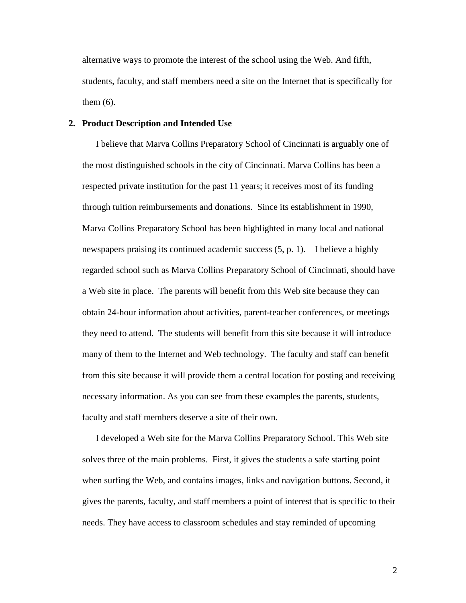alternative ways to promote the interest of the school using the Web. And fifth, students, faculty, and staff members need a site on the Internet that is specifically for them (6).

#### **2. Product Description and Intended Use**

I believe that Marva Collins Preparatory School of Cincinnati is arguably one of the most distinguished schools in the city of Cincinnati. Marva Collins has been a respected private institution for the past 11 years; it receives most of its funding through tuition reimbursements and donations. Since its establishment in 1990, Marva Collins Preparatory School has been highlighted in many local and national newspapers praising its continued academic success (5, p. 1). I believe a highly regarded school such as Marva Collins Preparatory School of Cincinnati, should have a Web site in place. The parents will benefit from this Web site because they can obtain 24-hour information about activities, parent-teacher conferences, or meetings they need to attend. The students will benefit from this site because it will introduce many of them to the Internet and Web technology. The faculty and staff can benefit from this site because it will provide them a central location for posting and receiving necessary information. As you can see from these examples the parents, students, faculty and staff members deserve a site of their own.

I developed a Web site for the Marva Collins Preparatory School. This Web site solves three of the main problems. First, it gives the students a safe starting point when surfing the Web, and contains images, links and navigation buttons. Second, it gives the parents, faculty, and staff members a point of interest that is specific to their needs. They have access to classroom schedules and stay reminded of upcoming

2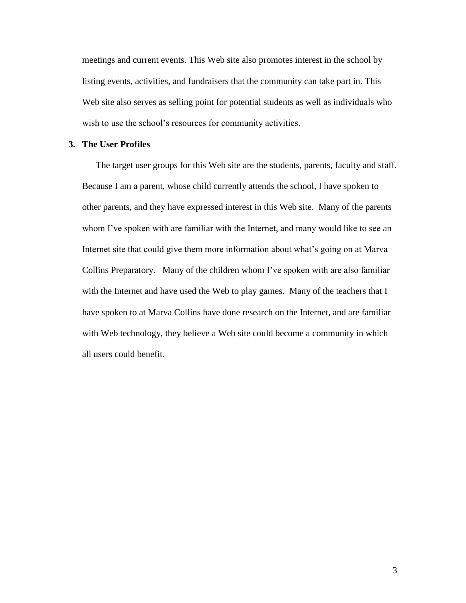meetings and current events. This Web site also promotes interest in the school by listing events, activities, and fundraisers that the community can take part in. This Web site also serves as selling point for potential students as well as individuals who wish to use the school's resources for community activities.

#### **3. The User Profiles**

The target user groups for this Web site are the students, parents, faculty and staff. Because I am a parent, whose child currently attends the school, I have spoken to other parents, and they have expressed interest in this Web site. Many of the parents whom I've spoken with are familiar with the Internet, and many would like to see an Internet site that could give them more information about what's going on at Marva Collins Preparatory. Many of the children whom I've spoken with are also familiar with the Internet and have used the Web to play games. Many of the teachers that I have spoken to at Marva Collins have done research on the Internet, and are familiar with Web technology, they believe a Web site could become a community in which all users could benefit.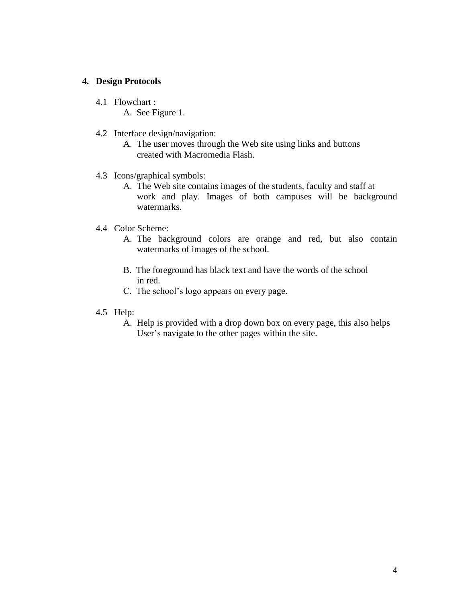#### **4. Design Protocols**

- 4.1 Flowchart :
	- A. See Figure 1.
- 4.2 Interface design/navigation:
	- A. The user moves through the Web site using links and buttons created with Macromedia Flash.
- 4.3 Icons/graphical symbols:
	- A. The Web site contains images of the students, faculty and staff at work and play. Images of both campuses will be background watermarks.
- 4.4 Color Scheme:
	- A. The background colors are orange and red, but also contain watermarks of images of the school.
	- B. The foreground has black text and have the words of the school in red.
	- C. The school's logo appears on every page.
- 4.5 Help:
	- A. Help is provided with a drop down box on every page, this also helps User's navigate to the other pages within the site.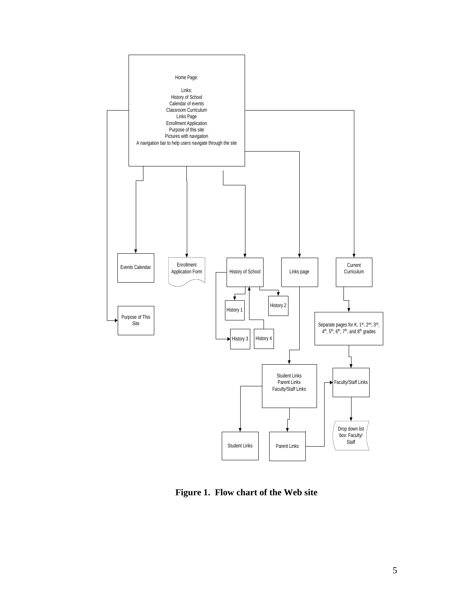

**Figure 1. Flow chart of the Web site**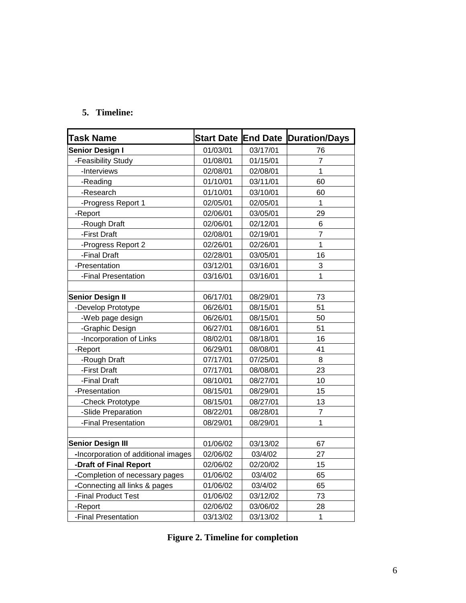## **5. Timeline:**

| <b>Task Name</b>                    | <b>Start Date</b> | <b>End Date</b> | <b>Duration/Days</b> |
|-------------------------------------|-------------------|-----------------|----------------------|
| <b>Senior Design I</b>              | 01/03/01          | 03/17/01        | 76                   |
| -Feasibility Study                  | 01/08/01          | 01/15/01        | 7                    |
| -Interviews                         | 02/08/01          | 02/08/01        | 1                    |
| -Reading                            | 01/10/01          | 03/11/01        | 60                   |
| -Research                           | 01/10/01          | 03/10/01        | 60                   |
| -Progress Report 1                  | 02/05/01          | 02/05/01        | 1                    |
| -Report                             | 02/06/01          | 03/05/01        | 29                   |
| -Rough Draft                        | 02/06/01          | 02/12/01        | 6                    |
| -First Draft                        | 02/08/01          | 02/19/01        | $\overline{7}$       |
| -Progress Report 2                  | 02/26/01          | 02/26/01        | $\overline{1}$       |
| -Final Draft                        | 02/28/01          | 03/05/01        | 16                   |
| -Presentation                       | 03/12/01          | 03/16/01        | 3                    |
| -Final Presentation                 | 03/16/01          | 03/16/01        | $\mathbf 1$          |
|                                     |                   |                 |                      |
| <b>Senior Design II</b>             | 06/17/01          | 08/29/01        | 73                   |
| -Develop Prototype                  | 06/26/01          | 08/15/01        | 51                   |
| -Web page design                    | 06/26/01          | 08/15/01        | 50                   |
| -Graphic Design                     | 06/27/01          | 08/16/01        | 51                   |
| -Incorporation of Links             | 08/02/01          | 08/18/01        | 16                   |
| -Report                             | 06/29/01          | 08/08/01        | 41                   |
| -Rough Draft                        | 07/17/01          | 07/25/01        | 8                    |
| -First Draft                        | 07/17/01          | 08/08/01        | 23                   |
| -Final Draft                        | 08/10/01          | 08/27/01        | 10                   |
| -Presentation                       | 08/15/01          | 08/29/01        | 15                   |
| -Check Prototype                    | 08/15/01          | 08/27/01        | 13                   |
| -Slide Preparation                  | 08/22/01          | 08/28/01        | $\overline{7}$       |
| -Final Presentation                 | 08/29/01          | 08/29/01        | $\mathbf{1}$         |
|                                     |                   |                 |                      |
| <b>Senior Design III</b>            | 01/06/02          | 03/13/02        | 67                   |
| -Incorporation of additional images | 02/06/02          | 03/4/02         | 27                   |
| -Draft of Final Report              | 02/06/02          | 02/20/02        | 15                   |
| -Completion of necessary pages      | 01/06/02          | 03/4/02         | 65                   |
| -Connecting all links & pages       | 01/06/02          | 03/4/02         | 65                   |
| -Final Product Test                 | 01/06/02          | 03/12/02        | 73                   |
| -Report                             | 02/06/02          | 03/06/02        | 28                   |
| -Final Presentation                 | 03/13/02          | 03/13/02        | $\mathbf{1}$         |

| <b>Figure 2. Timeline for completion</b> |  |  |  |
|------------------------------------------|--|--|--|
|------------------------------------------|--|--|--|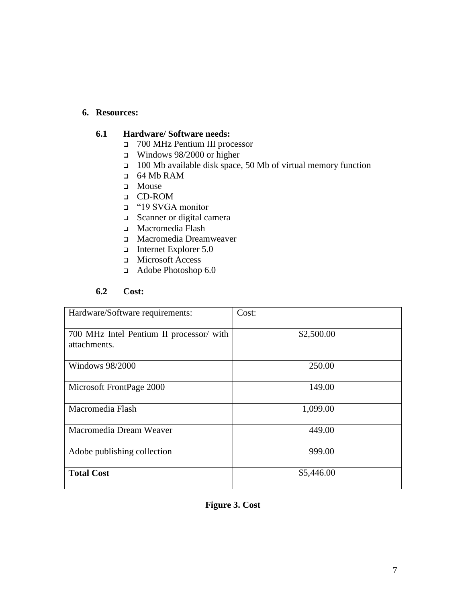## **6. Resources:**

### **6.1 Hardware/ Software needs:**

- 700 MHz Pentium III processor
- Windows 98/2000 or higher
- 100 Mb available disk space, 50 Mb of virtual memory function
- 64 Mb RAM
- **D** Mouse
- CD-ROM
- "19 SVGA monitor
- Scanner or digital camera
- Macromedia Flash
- Macromedia Dreamweaver
- Internet Explorer 5.0
- Microsoft Access
- Adobe Photoshop 6.0

## **6.2 Cost:**

| Hardware/Software requirements:                          | Cost:      |
|----------------------------------------------------------|------------|
| 700 MHz Intel Pentium II processor/ with<br>attachments. | \$2,500.00 |
| Windows 98/2000                                          | 250.00     |
| Microsoft FrontPage 2000                                 | 149.00     |
| Macromedia Flash                                         | 1,099.00   |
| Macromedia Dream Weaver                                  | 449.00     |
| Adobe publishing collection                              | 999.00     |
| <b>Total Cost</b>                                        | \$5,446.00 |

## **Figure 3. Cost**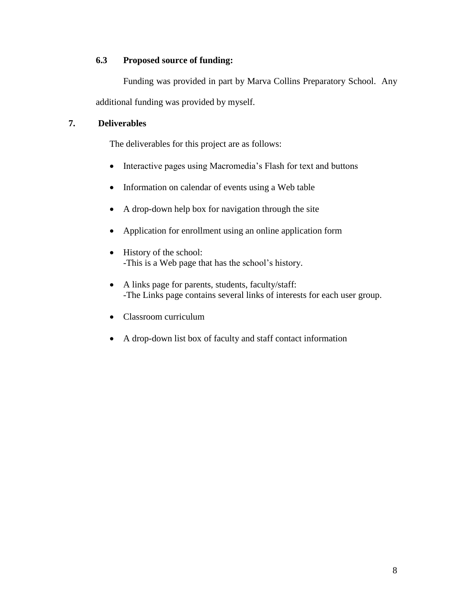## **6.3 Proposed source of funding:**

Funding was provided in part by Marva Collins Preparatory School. Any additional funding was provided by myself.

## **7. Deliverables**

The deliverables for this project are as follows:

- Interactive pages using Macromedia's Flash for text and buttons
- Information on calendar of events using a Web table
- A drop-down help box for navigation through the site
- Application for enrollment using an online application form
- History of the school: -This is a Web page that has the school's history.
- A links page for parents, students, faculty/staff: -The Links page contains several links of interests for each user group.
- Classroom curriculum
- A drop-down list box of faculty and staff contact information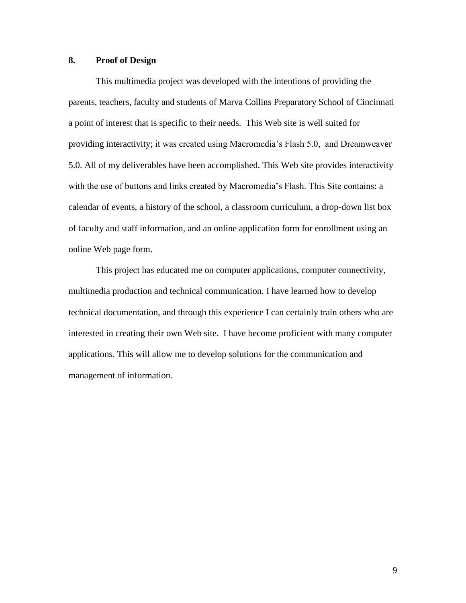## **8. Proof of Design**

This multimedia project was developed with the intentions of providing the parents, teachers, faculty and students of Marva Collins Preparatory School of Cincinnati a point of interest that is specific to their needs. This Web site is well suited for providing interactivity; it was created using Macromedia's Flash 5.0, and Dreamweaver 5.0. All of my deliverables have been accomplished. This Web site provides interactivity with the use of buttons and links created by Macromedia's Flash. This Site contains: a calendar of events, a history of the school, a classroom curriculum, a drop-down list box of faculty and staff information, and an online application form for enrollment using an online Web page form.

This project has educated me on computer applications, computer connectivity, multimedia production and technical communication. I have learned how to develop technical documentation, and through this experience I can certainly train others who are interested in creating their own Web site. I have become proficient with many computer applications. This will allow me to develop solutions for the communication and management of information.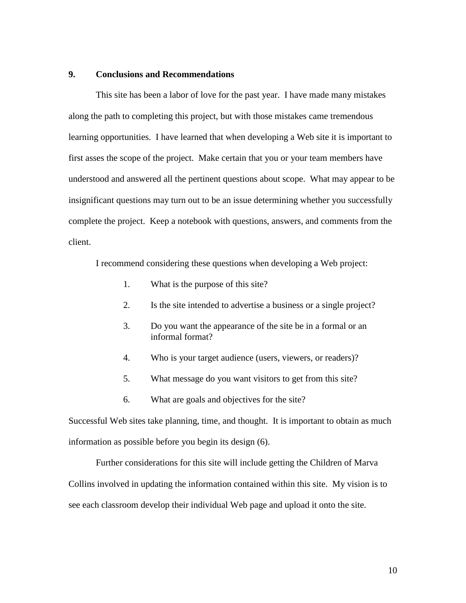#### **9. Conclusions and Recommendations**

This site has been a labor of love for the past year. I have made many mistakes along the path to completing this project, but with those mistakes came tremendous learning opportunities. I have learned that when developing a Web site it is important to first asses the scope of the project. Make certain that you or your team members have understood and answered all the pertinent questions about scope. What may appear to be insignificant questions may turn out to be an issue determining whether you successfully complete the project. Keep a notebook with questions, answers, and comments from the client.

I recommend considering these questions when developing a Web project:

- 1. What is the purpose of this site?
- 2. Is the site intended to advertise a business or a single project?
- 3. Do you want the appearance of the site be in a formal or an informal format?
- 4. Who is your target audience (users, viewers, or readers)?
- 5. What message do you want visitors to get from this site?
- 6. What are goals and objectives for the site?

Successful Web sites take planning, time, and thought. It is important to obtain as much information as possible before you begin its design (6).

Further considerations for this site will include getting the Children of Marva Collins involved in updating the information contained within this site. My vision is to see each classroom develop their individual Web page and upload it onto the site.